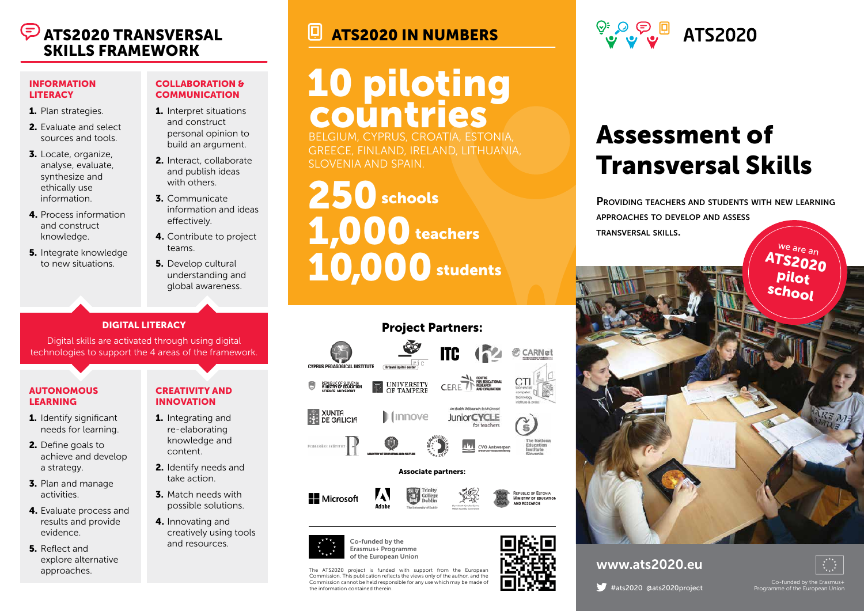# SKILLS FRAMEWORK

#### INFORMATION **LITERACY**

- 1. Plan strategies.
- 2. Evaluate and select sources and tools.
- 3. Locate, organize, analyse, evaluate, synthesize and ethically use information.
- 4. Process information and construct knowledge.
- **5.** Integrate knowledge to new situations.

### COLLABORATION & **COMMUNICATION**

- 1. Interpret situations and construct personal opinion to build an argument.
- 2. Interact, collaborate and publish ideas with others.
- 3. Communicate information and ideas effectively.
- 4. Contribute to project teams.
- **5.** Develop cultural understanding and global awareness.

## DIGITAL LITERACY

Digital skills are activated through using digital technologies to support the 4 areas of the framework.

### AUTONOMOUS LEARNING

- 1. Identify significant needs for learning.
- 2. Define goals to achieve and develop a strategy.
- 3. Plan and manage activities.
- 4. Evaluate process and results and provide evidence.
- 5. Reflect and explore alternative approaches.

### CREATIVITY AND INNOVATION

- 1. Integrating and re-elaborating knowledge and content.
	- 2. Identify needs and take action.
- 3. Match needs with possible solutions.
- 4. Innovating and creatively using tools and resources.

## ATS2020 TRANSVERSAL **ATS2020 IN NUMBERS**

# 10 piloting countries

BELGIUM, CYPRUS, CROATIA, ESTONIA, GREECE, FINLAND, IRELAND, LITHUANIA, SLOVENIA AND SPAIN.

 $250$  schools  $1,000$  teachers 10,000 students





The ATS2020 project is funded with support from the European Commission. This publication reflects the views only of the author, and the Commission cannot be held responsible for any use which may be made of the information contained therein.



## Assessment of Transversal Skills

PROVIDING TEACHERS AND STUDENTS WITH NEW LEARNING approaches to develop and assess transversal skills.



## www.ats2020.eu